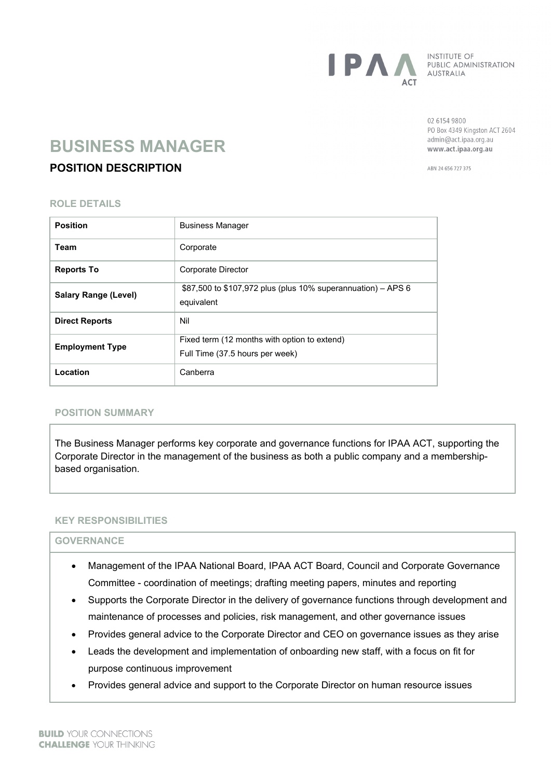

**INSTITUTE OF** PUBLIC ADMINISTRATION AUSTRALIA

02 6154 9800 PO Box 4349 Kingston ACT 2604 admin@act.ipaa.org.au www.act.ipaa.org.au

# **BUSINESS MANAGER**

# **POSITION DESCRIPTION**

ARN 24 656 727 375

# **ROLE DETAILS**

| <b>Position</b>             | <b>Business Manager</b>                                                         |
|-----------------------------|---------------------------------------------------------------------------------|
| Team                        | Corporate                                                                       |
| <b>Reports To</b>           | Corporate Director                                                              |
| <b>Salary Range (Level)</b> | \$87,500 to \$107,972 plus (plus 10% superannuation) – APS 6<br>equivalent      |
| <b>Direct Reports</b>       | Nil                                                                             |
| <b>Employment Type</b>      | Fixed term (12 months with option to extend)<br>Full Time (37.5 hours per week) |
| Location                    | Canberra                                                                        |

# **POSITION SUMMARY**

The Business Manager performs key corporate and governance functions for IPAA ACT, supporting the Corporate Director in the management of the business as both a public company and a membershipbased organisation.

# **KEY RESPONSIBILITIES**

# **GOVERNANCE**

- Management of the IPAA National Board, IPAA ACT Board, Council and Corporate Governance Committee - coordination of meetings; drafting meeting papers, minutes and reporting
- Supports the Corporate Director in the delivery of governance functions through development and maintenance of processes and policies, risk management, and other governance issues
- Provides general advice to the Corporate Director and CEO on governance issues as they arise
- Leads the development and implementation of onboarding new staff, with a focus on fit for purpose continuous improvement
- Provides general advice and support to the Corporate Director on human resource issues